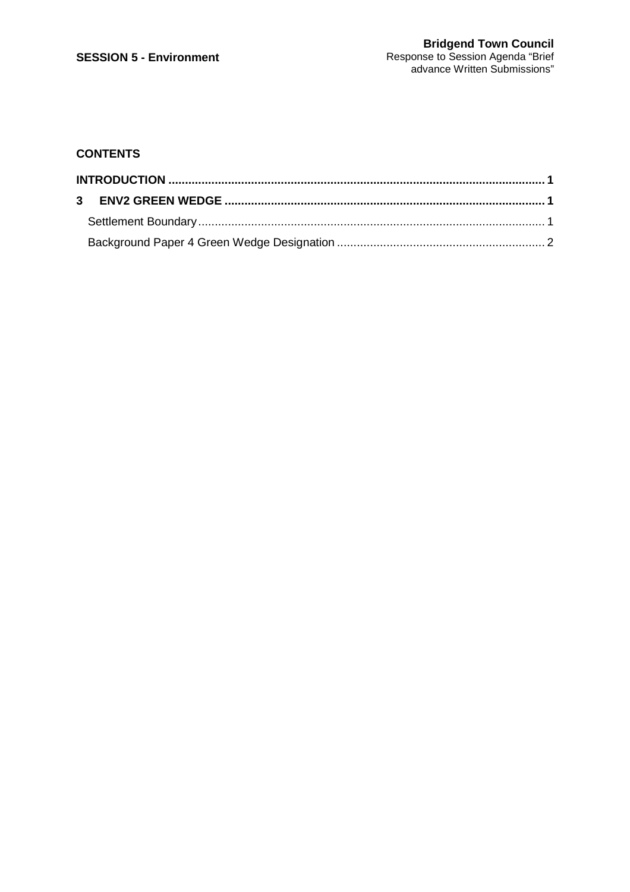# **CONTENTS**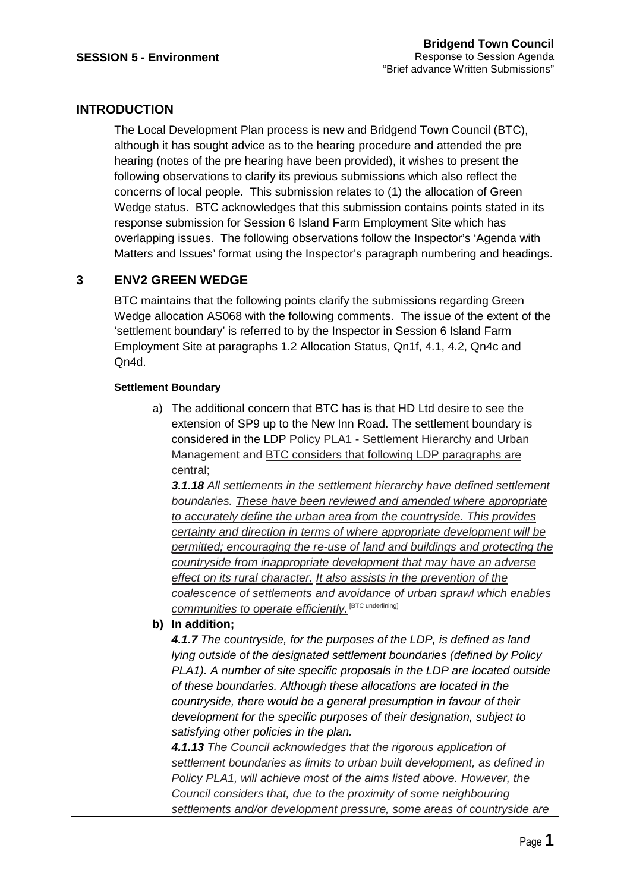## **INTRODUCTION**

The Local Development Plan process is new and Bridgend Town Council (BTC), although it has sought advice as to the hearing procedure and attended the pre hearing (notes of the pre hearing have been provided), it wishes to present the following observations to clarify its previous submissions which also reflect the concerns of local people. This submission relates to (1) the allocation of Green Wedge status. BTC acknowledges that this submission contains points stated in its response submission for Session 6 Island Farm Employment Site which has overlapping issues. The following observations follow the Inspector's 'Agenda with Matters and Issues' format using the Inspector's paragraph numbering and headings.

## **3 ENV2 GREEN WEDGE**

BTC maintains that the following points clarify the submissions regarding Green Wedge allocation AS068 with the following comments. The issue of the extent of the 'settlement boundary' is referred to by the Inspector in Session 6 Island Farm Employment Site at paragraphs 1.2 Allocation Status, Qn1f, 4.1, 4.2, Qn4c and Qn4d.

### **Settlement Boundary**

a) The additional concern that BTC has is that HD Ltd desire to see the extension of SP9 up to the New Inn Road. The settlement boundary is considered in the LDP Policy PLA1 - Settlement Hierarchy and Urban Management and BTC considers that following LDP paragraphs are central;

**3.1.18** All settlements in the settlement hierarchy have defined settlement boundaries. These have been reviewed and amended where appropriate to accurately define the urban area from the countryside. This provides certainty and direction in terms of where appropriate development will be permitted; encouraging the re-use of land and buildings and protecting the countryside from inappropriate development that may have an adverse effect on its rural character. It also assists in the prevention of the coalescence of settlements and avoidance of urban sprawl which enables communities to operate efficiently. [BTC underlining]

### **b) In addition;**

**4.1.7** The countryside, for the purposes of the LDP, is defined as land lying outside of the designated settlement boundaries (defined by Policy PLA1). A number of site specific proposals in the LDP are located outside of these boundaries. Although these allocations are located in the countryside, there would be a general presumption in favour of their development for the specific purposes of their designation, subject to satisfying other policies in the plan.

**4.1.13** The Council acknowledges that the rigorous application of settlement boundaries as limits to urban built development, as defined in Policy PLA1, will achieve most of the aims listed above. However, the Council considers that, due to the proximity of some neighbouring settlements and/or development pressure, some areas of countryside are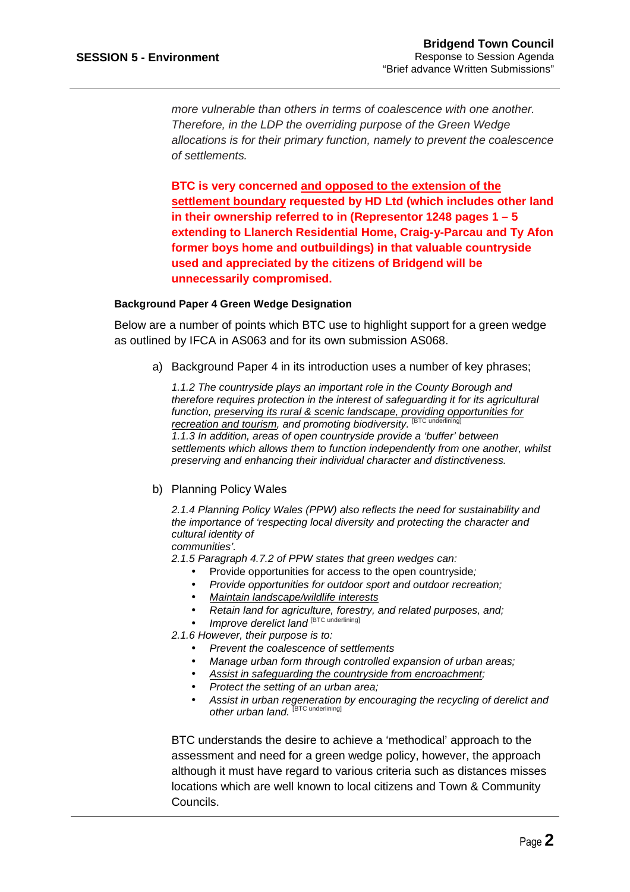more vulnerable than others in terms of coalescence with one another. Therefore, in the LDP the overriding purpose of the Green Wedge allocations is for their primary function, namely to prevent the coalescence of settlements.

**BTC is very concerned and opposed to the extension of the settlement boundary requested by HD Ltd (which includes other land in their ownership referred to in (Representor 1248 pages 1 – 5 extending to Llanerch Residential Home, Craig-y-Parcau and Ty Afon former boys home and outbuildings) in that valuable countryside used and appreciated by the citizens of Bridgend will be unnecessarily compromised.** 

#### **Background Paper 4 Green Wedge Designation**

Below are a number of points which BTC use to highlight support for a green wedge as outlined by IFCA in AS063 and for its own submission AS068.

a) Background Paper 4 in its introduction uses a number of key phrases;

1.1.2 The countryside plays an important role in the County Borough and therefore requires protection in the interest of safeguarding it for its agricultural function, preserving its rural & scenic landscape, providing opportunities for recreation and tourism, and promoting biodiversity. [BTC] 1.1.3 In addition, areas of open countryside provide a 'buffer' between settlements which allows them to function independently from one another, whilst preserving and enhancing their individual character and distinctiveness.

#### b) Planning Policy Wales

2.1.4 Planning Policy Wales (PPW) also reflects the need for sustainability and the importance of 'respecting local diversity and protecting the character and cultural identity of

communities'.

2.1.5 Paragraph 4.7.2 of PPW states that green wedges can:

- Provide opportunities for access to the open countryside;
- Provide opportunities for outdoor sport and outdoor recreation;
- Maintain landscape/wildlife interests
- Retain land for agriculture, forestry, and related purposes, and;
- Improve derelict land [BTC underlining]

2.1.6 However, their purpose is to:

- Prevent the coalescence of settlements
- Manage urban form through controlled expansion of urban areas;
- Assist in safeguarding the countryside from encroachment:
- Protect the setting of an urban area;
- Assist in urban regeneration by encouraging the recycling of derelict and other urban land. [BTC underlining]

BTC understands the desire to achieve a 'methodical' approach to the assessment and need for a green wedge policy, however, the approach although it must have regard to various criteria such as distances misses locations which are well known to local citizens and Town & Community Councils.